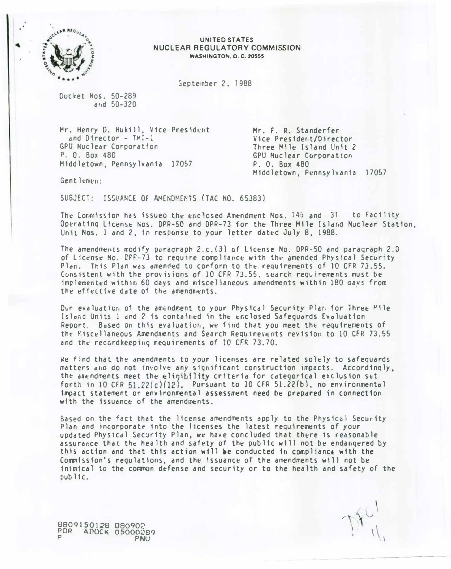

#### UNITED STATES NUCLEAR REGULATORY COMMISSION **WASHINGTON. D. C. 20555**

September 2, 1988

Ducket Nos. 50-289 and 50-320

Mr. Henry D. Hukill, Vice President and Director -  $IMI-1$ GPU Nuclear Corporation P. O. Box 480 Middletown, Pennsylvania 17057

Mr. F. R. Standerfer Vice President/Director Three Mile Island Unit 2 GPU Nuclear Corporation P. O. Box 480 Middletown, Pennsylvania 17057

Gentlemen:

SUBJECT: ISSUANCE OF AMENDMENTS (TAC NO. 65383)

The Connission has issued the enclosed Amendment Nos. 145 and 31 to Facility Operating License Nos. DPR-50 and DPR-73 for the Three Mile Island Nuclear Station. Unit Nos. 1 and 2, in response to your letter dated July 8, 1988.

The amendments modify paragraph 2.c. (3) of License No. DPR-50 and paragraph 2.D of License No. CPR-73 to require compliance with the amended Physical Security Plan. This Plan was amended to conform to the requirements of 10 CFR 73.55. Consistent with the provisions of 10 CFR 73.55, search requirements must be implemented within 60 days and miscellaneous amendments within 180 days from the effective date of the amendments.

Our evaluation of the amendment to your Physical Security Plan for Three Mile Island Units 1 and 2 is contained in the enclosed Safeguards Evaluation Report. Based on this evaluation, we find that you meet the requirements of the Miscellaneous Amendments and Search Requirements revision to 10 CFR 73.55 and the recordkeeping requirements of 10 CFR 73.70.

We find that the amendments to your licenses are related solely to safeguards matters and do not involve any significant construction impacts. Accordingly, the aux-ndments meet the eligibility criteria for categorical exclusion set forth in 10 CFR  $51.22(c)(12)$ . Pursuant to 10 CFR  $51.22(b)$ , no environmental impact statement or environmental assessment need be prepared in connection with the issuance of the amendments.

Based on the fact that the license amendments apply to the Physical Security Plan and incorporate into the licenses the latest reguirements of your updated Physical Security Plan, we have concluded that there is reasonable assurance that the health and safety of the public will not be endangered by this action and that this action will be conducted in compliance with the Commission's regulations, and the issuance of the amendments will not be inimical to the common defense and security or to the health and safety of the  $pub$  $11c$ .

8809150128 880902 PDR ADOCK 05000289 PNU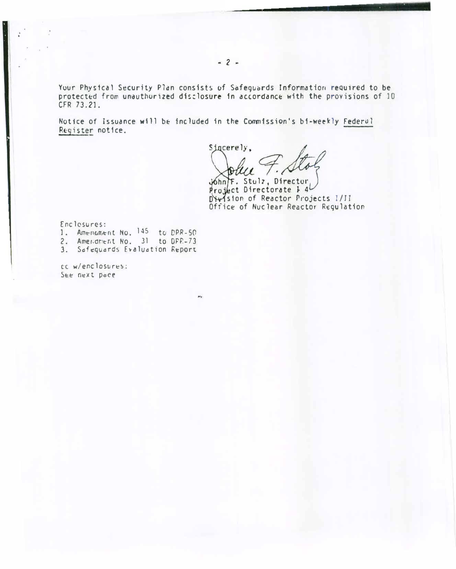Your Physical Security Plan consists of Safeguards Information required to be protected from unauthorized disclosure in accordance with the provisions of 10 CFR 73.21.

Notice of Issuance will be included in the Commission's bi-weekly Federal Register notice.

m,

Sincerely. ı

. Stol7, Director ct Directorate *E* 4 Dirision of Reactor Projects I/II Office of Nuc lear Reactor Requlation

Enclosures:

- 1. Americanent No. 145 to DPR-50
- 2. Amer.dment No. 31 to DPR-73
- 3. Safequards Evaluation Report

cc w/enclosur��: See next pace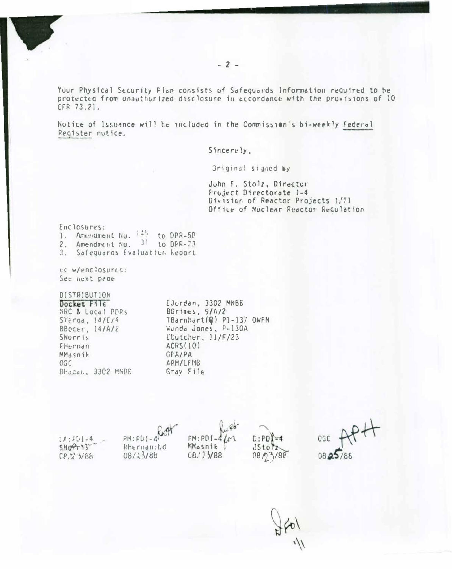Your Physical Security Pian consists of Safeguards Information required to be protected from unauthorized disclosure in accordance with the provisions of 10 CFR 73.21.

Notice of Issuance will be included in the Commission's bi-weekly Federal Register nutice.

Sincerely,

Original signed by

Juhn F. Stolz, Director Fruject Directorate 1-4 Division of Reactor Projects I/II Office of Nuclear Reactor Requlation

|    | Enclessures:                 |      |             |
|----|------------------------------|------|-------------|
|    | 1. Amendment No.             | 1.15 | to DPR-50   |
| 2. | Amendment No.                | 31   | to $DFR-73$ |
| 3. | Safeguards Evaluation Report |      |             |

CC W/enclosures: See next pape

## DISTRIBUTION

| Docket $File$       |
|---------------------|
| NRC & Local PDRS    |
| $SVi$ raa, $14/E/4$ |
| BBccer, $14/A/c$    |
| SNerris             |
| EHernan             |
| MMasnik             |
| OGC                 |
| DHasen, 3302 MNBE   |
|                     |

EJurdan, 3302 MNBB BGrines, 9/A/2 TBarnhort(G) P1-137 OWFN Wanda Jones, P-130A L'Utcher, 11/F/23  $ACRS(10)$ GFA/PA ARM/LFMB Gray File

|              |                                   |                |                       | $-49 +$  |
|--------------|-----------------------------------|----------------|-----------------------|----------|
| $[A:FL] - 4$ | PM: FUI-4 Root                    | $PM:PDI-4\ell$ | $D:PD$ <sup>1-4</sup> | CGC      |
| SNOTY32      | $k$ $k$ $\in$ $r$ $n$ $d$ $n$ $d$ | MMasnik        | JStoZ                 |          |
| [2, 2, 3/88] | 08/23/88                          | 06/13/88       | 08/2188               | 08 25/88 |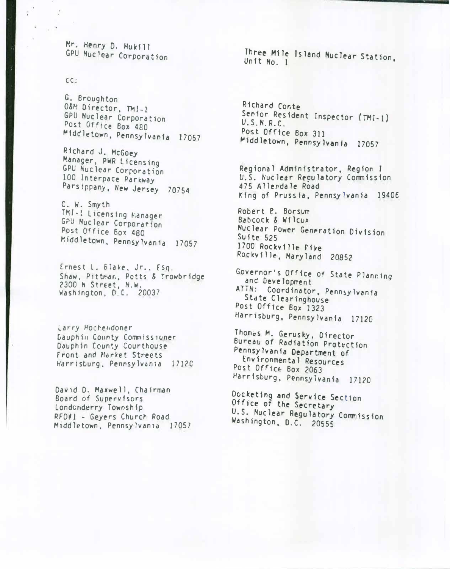�r. Henry 0. Hukill GPU Nuclear Corporation

cc:

G. Broughton O&M Director, TMI-1 GPU Nuclear Corporation Post Office Box 480<br>Middletown, Pennsylvania 17057

Richard J. McGoey M�nager, PWR licensing GPU Nuclear Corporation 100 Interpace Parkway Parsippany, New Jersey 70754

C. W. Smyth<br>TMI-1 Licensing Manager GPU Nuclear Corporation Post Office Box 480 Middletown, Pennsylvania 17057

Ernest l. 61ake, Jr., fsq. Shaw, Pittman, Potts & Trowbridge 2300 N Street, N.W. Washington, D.C. 20037

Larry Hochendoner Dauphin County Conmiss1oner Dauphin County Courthouse Front and Market Streets Harrisburg, Pennsylvania 17120

David D. Maxwell, Chairman Board of Supervisors londonderry Township RFDI} - Geyers Church Road Middletown, Pennsylvania 17057 Three Mile Island Nuclear Station,

Richard Conte Senior Resident Inspector (TMI-1)<br>U.S.N.R.C. Post Office Box 311 Middletown, Pennsylvanfa 17057

Regional Administrator, Region l U.S. Nuclear Reculatory Commission 475 Allerdale Road King of Prussia, Pennsylvania 19406

Robert e. Borsum Babcock & Wilcox Nuclear Power Generation Division 1700 Rockville Pike Rockville, Maryland 20852

Governor's Office of State Planning and D�velopment ATTN: Coordinator, Pennsylvania<br>State Clearinghouse Post Office Box 1323 Harrisburg, Pennsylvania 17120

Thomas M. Gerusky. Director Bureau of Radiation Prot�ction Pennsy1vania Department of Environmental Resources Post Office Box 2063 Harrisburg. Pennsylvania 17120

Dvcketing and Service Section Office of the Secretary U.S. Nuclear R�gulatory Commission Washington, D.C. 20555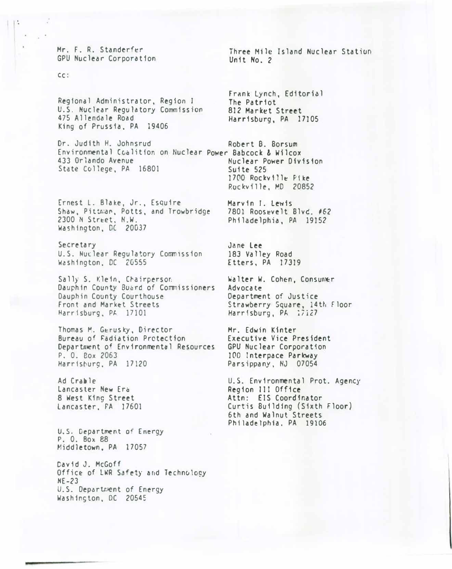Mr. F. R. Standerfer GPU Nuclear Corporation

#### cc :

Regional Administrator, Region I U.S. Nuclear Regulatory Commission 475 Allendale Road King of Prussia, PA 19406

Dr. Judith H. Johnsrud Robert B. Borsum Environmental Coalition on Nuclear Power Babcock & Wilcox 433 Orlando Avenue State College, PA 16801 Suite 525

Ernest L. Blake, Jr., Esquire Shaw, Pittman, Potts, and Trowbridge 2300 N Street, N.W. Washington, DC 20037

Secretary U.S. Nuclear Regulatory Commission Washington, DC 2G555

Sally S. Klein, Chairperson Dauphin County Board of Commissioners Dauphin County Courthouse Front and Market Streets Harrisburg, PA 17101

Thomas M. Gerusky, Director Bureau of �adiation Protection Department of Environmental Resources P. 0. Box 2063 Harrisburg, PA 17120

Ad Crable Lancaster New Era 8 West King Street lancaster, PA 17601

U.S. Department of Energy P. 0. Box 88 Middletown, PA 17057

David J. McGoff Office of LWR Safety and Technology  $NE-23$ U.S. Department of Energy Washinston, DC 20545

Three Mile Island Nuclear Station Unit No. 2

frank Lynch, Editorial The Patriot 812 Market Street Harrisburg, PA 17105

Nuclear Power Dfv1s1on 1700 Rockville Pike Rockville, MD 20852

Marvin J. Lewis 7801 Roosevelt Blvd. #62 Philadelphia, PA 19152

Jane Lee 183 Valley Road Etters, PA 17319

Walter W. Cohen, Consumer Advocate Department of Justice Strawberry Square, 14th Floor Harrisburg, PA ;7:27

Mr. Edwin Kinter Executive Vice President GPU Nuclear Corporation 100 Interpace Parkway Parsippany, NJ 07054

U.S. Environmental Prot. Agency Region III Office Attn: EIS Coordinator Curtis Building (Sixth Floor) 6th and Walnut Streets Philadelphia, PA 19106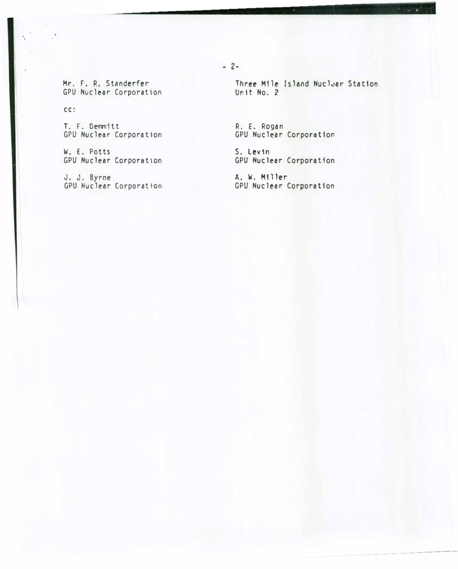Mr. F. R. Standerfer GPU Nuclear Corporation

 $cc:$ 

T. F. Demmitt GPU Nuclear Corporation

W. E. Potts **GPU Nuclear Corporation** 

J. J. Byrne<br>GPU Nuclear Corporation

Three Mile Island Nuclear Station Unit No. 2

R. E. Rogan GPU Nuclear Corporation

S. Levin **GPU Nuclear Corporation** 

A. W. Miller GPU Nuclear Corporation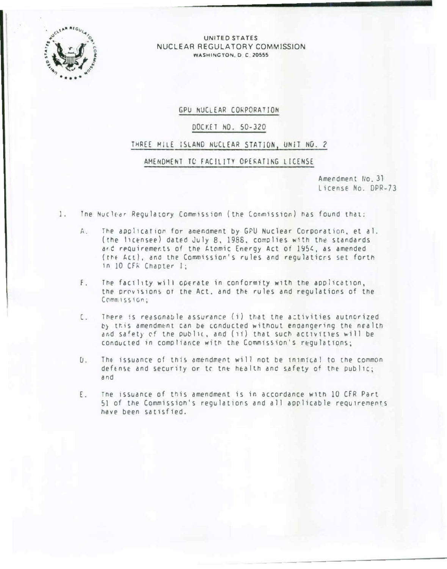

#### UNITED STATES NUCLEAR REGULATORY COMMISSION WASHINGTON, D.C. 20555

## GPU NUCLEAR CORPORATION

## DOCKET NO. 50-320

### THREE MILE ISLAND NUCLEAR STATION, UNIT NO. 2

# AMENDMENT TO FACILITY OPERATING LICENSE

Amendment No. 31 License No. DPR-73

- $1.$ The Nuclear Regulatory Commission (the Commission) has found that:
	- A. The application for amendment by GPU Nuclear Corporation, et al. (the licensee) dated July 8, 1988, complies with the standards and requirements of the Atomic Energy Act of 1954, as amended (the Act), and the Commission's rules and regulations set forth in 10 CFR Chapter I:
	- The facility will operate in conformity with the application,  $F$ . the provisions of the Act, and the rules and regulations of the Commission:
	- [. There is reasonable assurance (i) that the activities authorized by this amendment can be conducted without endangering the nealth and safety of the public, and (ii) that such activities will be conducted in compliance with the Commission's regulations;
	- U. The issuance of this amendment will not be inimical to the common defense and security or to the health and safety of the public; and
	- The issuance of this amendment is in accordance with 10 CFR Part  $E_{\infty}$ 51 of the Commission's regulations and all applicable requirements have been satisfied.